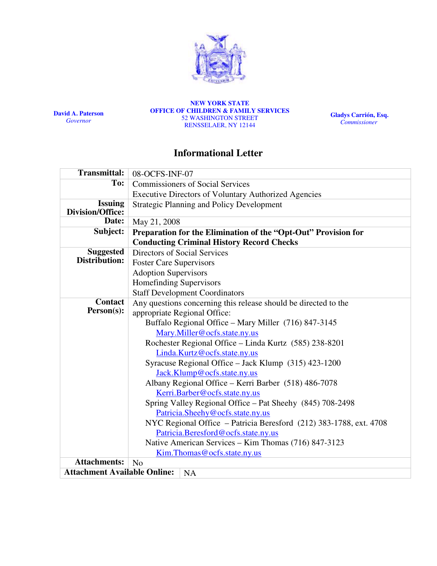

David A. Paterson **Governor** 

NEW YORK STATE OFFICE OF CHILDREN & FAMILY SERVICES 52 WASHINGTON STREET RENSSELAER, NY 12144

Gladys Carrión, Esq. **Commissioner** 

# Informational Letter

| <b>Transmittal:</b>                 | 08-OCFS-INF-07                                                     |  |  |  |  |
|-------------------------------------|--------------------------------------------------------------------|--|--|--|--|
| To:                                 | <b>Commissioners of Social Services</b>                            |  |  |  |  |
|                                     | <b>Executive Directors of Voluntary Authorized Agencies</b>        |  |  |  |  |
| <b>Issuing</b>                      | <b>Strategic Planning and Policy Development</b>                   |  |  |  |  |
| <b>Division/Office:</b>             |                                                                    |  |  |  |  |
| Date:                               | May 21, 2008                                                       |  |  |  |  |
| Subject:                            | Preparation for the Elimination of the "Opt-Out" Provision for     |  |  |  |  |
|                                     | <b>Conducting Criminal History Record Checks</b>                   |  |  |  |  |
| <b>Suggested</b>                    | Directors of Social Services                                       |  |  |  |  |
| Distribution:                       | <b>Foster Care Supervisors</b>                                     |  |  |  |  |
|                                     | <b>Adoption Supervisors</b>                                        |  |  |  |  |
|                                     | <b>Homefinding Supervisors</b>                                     |  |  |  |  |
|                                     | <b>Staff Development Coordinators</b>                              |  |  |  |  |
| <b>Contact</b>                      | Any questions concerning this release should be directed to the    |  |  |  |  |
| Person(s):                          | appropriate Regional Office:                                       |  |  |  |  |
|                                     | Buffalo Regional Office - Mary Miller (716) 847-3145               |  |  |  |  |
|                                     | Mary.Miller@ocfs.state.ny.us                                       |  |  |  |  |
|                                     | Rochester Regional Office - Linda Kurtz (585) 238-8201             |  |  |  |  |
|                                     | Linda.Kurtz@ocfs.state.ny.us                                       |  |  |  |  |
|                                     | Syracuse Regional Office - Jack Klump (315) 423-1200               |  |  |  |  |
|                                     | Jack.Klump@ocfs.state.ny.us                                        |  |  |  |  |
|                                     | Albany Regional Office - Kerri Barber (518) 486-7078               |  |  |  |  |
|                                     | Kerri.Barber@ocfs.state.ny.us                                      |  |  |  |  |
|                                     | Spring Valley Regional Office - Pat Sheehy (845) 708-2498          |  |  |  |  |
|                                     | Patricia.Sheehy@ocfs.state.ny.us                                   |  |  |  |  |
|                                     | NYC Regional Office - Patricia Beresford (212) 383-1788, ext. 4708 |  |  |  |  |
|                                     | Patricia.Beresford@ocfs.state.ny.us                                |  |  |  |  |
|                                     | Native American Services - Kim Thomas (716) 847-3123               |  |  |  |  |
|                                     | Kim. Thomas @ ocfs.state.ny.us                                     |  |  |  |  |
| <b>Attachments:</b>                 | N <sub>o</sub>                                                     |  |  |  |  |
| <b>Attachment Available Online:</b> | <b>NA</b>                                                          |  |  |  |  |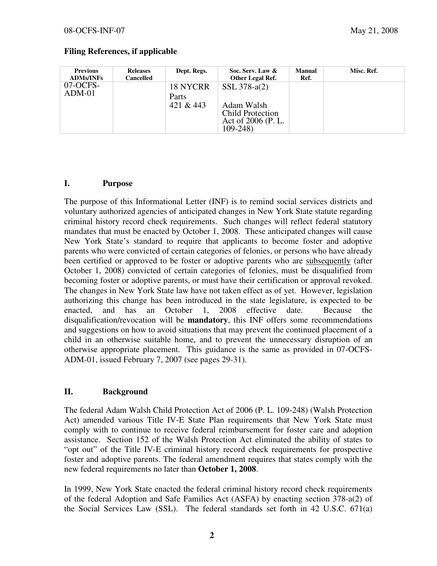| <b>Previous</b><br><b>ADMs/INFs</b> | <b>Releases</b><br>Cancelled | Dept. Regs.                    | Soc. Serv. Law &<br>Other Legal Ref.                                                         | <b>Manual</b><br>Ref. | Misc. Ref. |
|-------------------------------------|------------------------------|--------------------------------|----------------------------------------------------------------------------------------------|-----------------------|------------|
| $07-OCFS-$<br>$ADM-01$              |                              | 18 NYCRR<br>Parts<br>421 & 443 | SSL $378-a(2)$<br>Adam Walsh<br><b>Child Protection</b><br>Act of 2006 (P. L.<br>$109 - 248$ |                       |            |

#### Filing References, if applicable

#### I. Purpose

The purpose of this Informational Letter (INF) is to remind social services districts and voluntary authorized agencies of anticipated changes in New York State statute regarding criminal history record check requirements. Such changes will reflect federal statutory mandates that must be enacted by October 1, 2008. These anticipated changes will cause New York State's standard to require that applicants to become foster and adoptive parents who were convicted of certain categories of felonies, or persons who have already been certified or approved to be foster or adoptive parents who are subsequently (after October 1, 2008) convicted of certain categories of felonies, must be disqualified from becoming foster or adoptive parents, or must have their certification or approval revoked. The changes in New York State law have not taken effect as of yet. However, legislation authorizing this change has been introduced in the state legislature, is expected to be enacted, and has an October 1, 2008 effective date. Because the disqualification/revocation will be mandatory, this INF offers some recommendations and suggestions on how to avoid situations that may prevent the continued placement of a child in an otherwise suitable home, and to prevent the unnecessary disruption of an otherwise appropriate placement. This guidance is the same as provided in 07-OCFS-ADM-01, issued February 7, 2007 (see pages 29-31).

### II. Background

The federal Adam Walsh Child Protection Act of 2006 (P. L. 109-248) (Walsh Protection Act) amended various Title IV-E State Plan requirements that New York State must comply with to continue to receive federal reimbursement for foster care and adoption assistance. Section 152 of the Walsh Protection Act eliminated the ability of states to "opt out" of the Title IV-E criminal history record check requirements for prospective foster and adoptive parents. The federal amendment requires that states comply with the new federal requirements no later than October 1, 2008.

In 1999, New York State enacted the federal criminal history record check requirements of the federal Adoption and Safe Families Act (ASFA) by enacting section 378-a(2) of the Social Services Law (SSL). The federal standards set forth in 42 U.S.C. 671(a)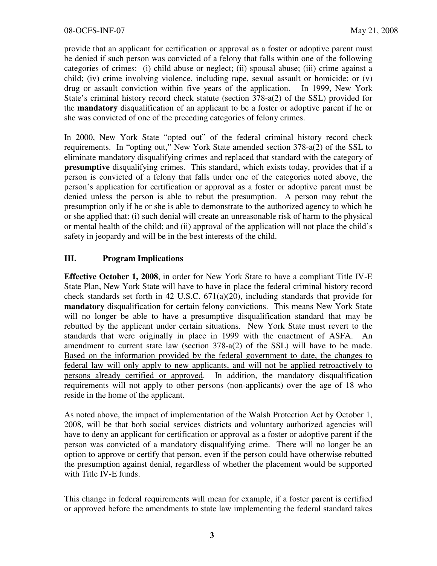provide that an applicant for certification or approval as a foster or adoptive parent must be denied if such person was convicted of a felony that falls within one of the following categories of crimes: (i) child abuse or neglect; (ii) spousal abuse; (iii) crime against a child; (iv) crime involving violence, including rape, sexual assault or homicide; or (v) drug or assault conviction within five years of the application. In 1999, New York State's criminal history record check statute (section 378-a(2) of the SSL) provided for the mandatory disqualification of an applicant to be a foster or adoptive parent if he or she was convicted of one of the preceding categories of felony crimes.

In 2000, New York State "opted out" of the federal criminal history record check requirements. In "opting out," New York State amended section 378-a(2) of the SSL to eliminate mandatory disqualifying crimes and replaced that standard with the category of presumptive disqualifying crimes. This standard, which exists today, provides that if a person is convicted of a felony that falls under one of the categories noted above, the person's application for certification or approval as a foster or adoptive parent must be denied unless the person is able to rebut the presumption. A person may rebut the presumption only if he or she is able to demonstrate to the authorized agency to which he or she applied that: (i) such denial will create an unreasonable risk of harm to the physical or mental health of the child; and (ii) approval of the application will not place the child's safety in jeopardy and will be in the best interests of the child.

## III. Program Implications

Effective October 1, 2008, in order for New York State to have a compliant Title IV-E State Plan, New York State will have to have in place the federal criminal history record check standards set forth in 42 U.S.C. 671(a)(20), including standards that provide for mandatory disqualification for certain felony convictions. This means New York State will no longer be able to have a presumptive disqualification standard that may be rebutted by the applicant under certain situations. New York State must revert to the standards that were originally in place in 1999 with the enactment of ASFA. An amendment to current state law (section 378-a(2) of the SSL) will have to be made. Based on the information provided by the federal government to date, the changes to federal law will only apply to new applicants, and will not be applied retroactively to persons already certified or approved. In addition, the mandatory disqualification requirements will not apply to other persons (non-applicants) over the age of 18 who reside in the home of the applicant.

As noted above, the impact of implementation of the Walsh Protection Act by October 1, 2008, will be that both social services districts and voluntary authorized agencies will have to deny an applicant for certification or approval as a foster or adoptive parent if the person was convicted of a mandatory disqualifying crime. There will no longer be an option to approve or certify that person, even if the person could have otherwise rebutted the presumption against denial, regardless of whether the placement would be supported with Title IV-E funds.

This change in federal requirements will mean for example, if a foster parent is certified or approved before the amendments to state law implementing the federal standard takes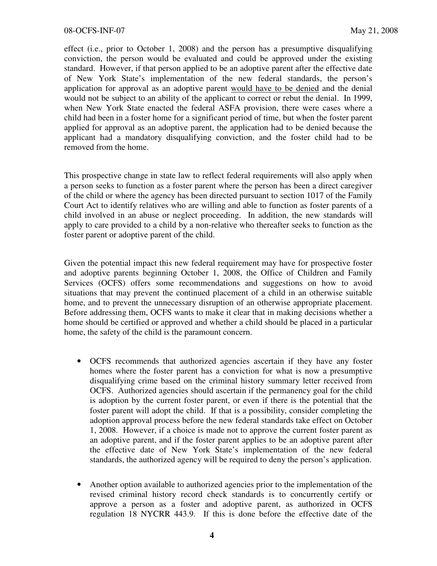effect (i.e., prior to October 1, 2008) and the person has a presumptive disqualifying conviction, the person would be evaluated and could be approved under the existing standard. However, if that person applied to be an adoptive parent after the effective date of New York State's implementation of the new federal standards, the person's application for approval as an adoptive parent would have to be denied and the denial would not be subject to an ability of the applicant to correct or rebut the denial. In 1999, when New York State enacted the federal ASFA provision, there were cases where a child had been in a foster home for a significant period of time, but when the foster parent applied for approval as an adoptive parent, the application had to be denied because the applicant had a mandatory disqualifying conviction, and the foster child had to be removed from the home.

This prospective change in state law to reflect federal requirements will also apply when a person seeks to function as a foster parent where the person has been a direct caregiver of the child or where the agency has been directed pursuant to section 1017 of the Family Court Act to identify relatives who are willing and able to function as foster parents of a child involved in an abuse or neglect proceeding. In addition, the new standards will apply to care provided to a child by a non-relative who thereafter seeks to function as the foster parent or adoptive parent of the child.

Given the potential impact this new federal requirement may have for prospective foster and adoptive parents beginning October 1, 2008, the Office of Children and Family Services (OCFS) offers some recommendations and suggestions on how to avoid situations that may prevent the continued placement of a child in an otherwise suitable home, and to prevent the unnecessary disruption of an otherwise appropriate placement. Before addressing them, OCFS wants to make it clear that in making decisions whether a home should be certified or approved and whether a child should be placed in a particular home, the safety of the child is the paramount concern.

- OCFS recommends that authorized agencies ascertain if they have any foster homes where the foster parent has a conviction for what is now a presumptive disqualifying crime based on the criminal history summary letter received from OCFS. Authorized agencies should ascertain if the permanency goal for the child is adoption by the current foster parent, or even if there is the potential that the foster parent will adopt the child. If that is a possibility, consider completing the adoption approval process before the new federal standards take effect on October 1, 2008. However, if a choice is made not to approve the current foster parent as an adoptive parent, and if the foster parent applies to be an adoptive parent after the effective date of New York State's implementation of the new federal standards, the authorized agency will be required to deny the person's application.
- Another option available to authorized agencies prior to the implementation of the revised criminal history record check standards is to concurrently certify or approve a person as a foster and adoptive parent, as authorized in OCFS regulation 18 NYCRR 443.9. If this is done before the effective date of the